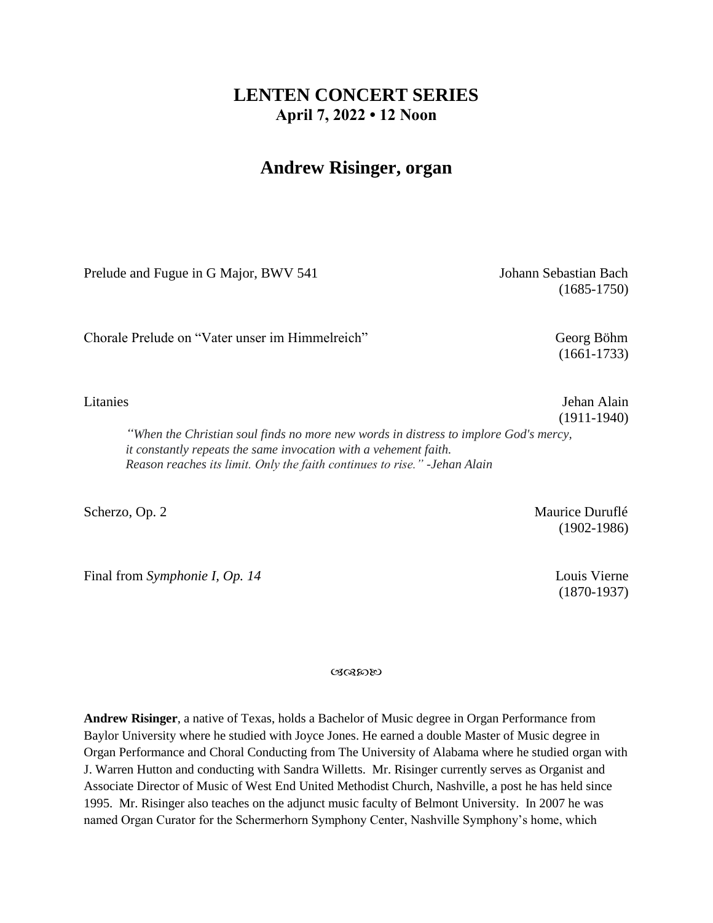## **LENTEN CONCERT SERIES April 7, 2022 • 12 Noon**

## **Andrew Risinger, organ**

Prelude and Fugue in G Major, BWV 541 Johann Sebastian Bach

(1685-1750)

Chorale Prelude on "Vater unser im Himmelreich" Georg Böhm

(1661-1733)

(1911-1940)

Litanies **Jehan Alain** 

*"When the Christian soul finds no more new words in distress to implore God's mercy, it constantly repeats the same invocation with a vehement faith. Reason reaches its limit. Only the faith continues to rise." -Jehan Alain* 

Final from *Symphonie I, Op. 14* Louis Vierne

Scherzo, Op. 2 Maurice Duruflé (1902-1986)

(1870-1937)

いいふめん

**Andrew Risinger**, a native of Texas, holds a Bachelor of Music degree in Organ Performance from Baylor University where he studied with Joyce Jones. He earned a double Master of Music degree in Organ Performance and Choral Conducting from The University of Alabama where he studied organ with J. Warren Hutton and conducting with Sandra Willetts. Mr. Risinger currently serves as Organist and Associate Director of Music of West End United Methodist Church, Nashville, a post he has held since 1995. Mr. Risinger also teaches on the adjunct music faculty of Belmont University. In 2007 he was named Organ Curator for the Schermerhorn Symphony Center, Nashville Symphony's home, which